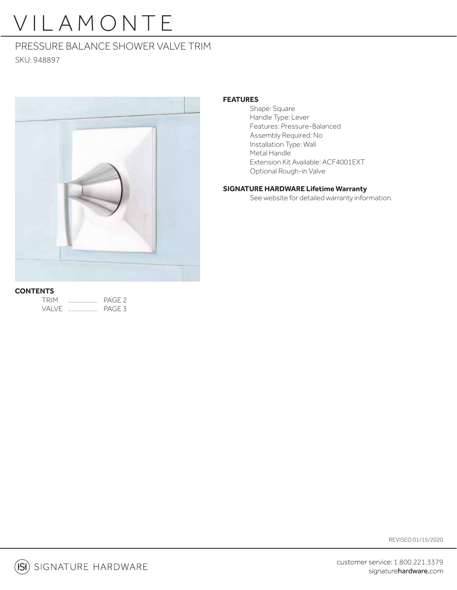# VILAMONTE

### PRESSURE BALANCE SHOWER VALVE TRIM

SKU: 948897



#### **FEATURES**

 Shape: Square Handle Type: Lever Features: Pressure-Balanced Assembly Required: No Installation Type: Wall Metal Handle Extension Kit Available: ACF4001EXT Optional Rough-in Valve

#### **SIGNATURE HARDWARE Lifetime Warranty**

See website for detailed warranty information.

#### **CONTENTS**

| <b>TRIM</b> | PAGE <sub>2</sub> |
|-------------|-------------------|
| VAI VF      | PAGE <sub>3</sub> |

REVISED 01/15/2020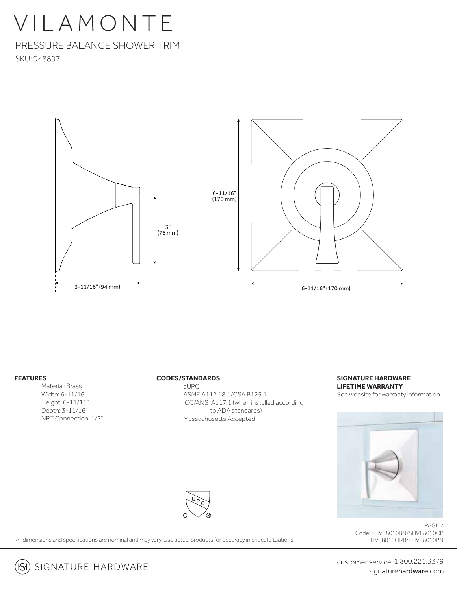### VILAMONTE

PRESSURE BALANCE SHOWER TRIM SKU: 948897



#### **FEATURES**

Material: Brass Width: 6-11/16" Height: 6-11/16" Depth: 3-11/16" NPT Connection: 1/2"

#### **CODES/STANDARDS**

 cUPC ASME A112.18.1/CSA B125.1 ICC/ANSI A117.1 (when installed according to ADA standards) Massachusetts Accepted

#### **SIGNATURE HARDWARE LIFETIME WARRANTY** See website for warranty information

All dimensions and specifications are nominal and may vary. Use actual products for accuracy in critical situations.

PAGE 2 Code: SHVL8010BN/SHVL8010CP SHVL8010ORB/SHVL8010PN

customer service 1.800.221.3379 signaturehardware.com